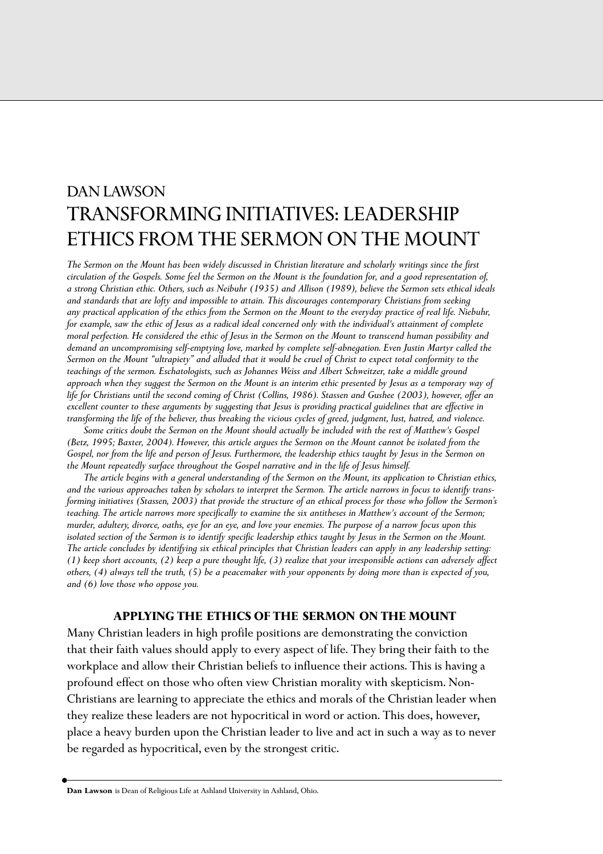# DAN LAWSON TRANSFORMING INITIATIVES: LEADERSHIP ETHICS FROM THE SERMON ON THE MOUNT

*The Sermon on the Mount has been widely discussed in Christian literature and scholarly writings since the first circulation of the Gospels. Some feel the Sermon on the Mount is the foundation for, and a good representation of, a strong Christian ethic. Others, such as Neibuhr (1935) and Allison (1989), believe the Sermon sets ethical ideals and standards that are lofty and impossible to attain. This discourages contemporary Christians from seeking any practical application of the ethics from the Sermon on the Mount to the everyday practice of real life. Niebuhr, for example, saw the ethic of Jesus as a radical ideal concerned only with the individual's attainment of complete moral perfection. He considered the ethic of Jesus in the Sermon on the Mount to transcend human possibility and demand an uncompromising self-emptying love, marked by complete self-abnegation. Even Justin Martyr called the Sermon on the Mount "ultrapiety" and alluded that it would be cruel of Christ to expect total conformity to the teachings of the sermon. Eschatologists, such as Johannes Weiss and Albert Schweitzer, take a middle ground approach when they suggest the Sermon on the Mount is an interim ethic presented by Jesus as a temporary way of life for Christians until the second coming of Christ (Collins, 1986). Stassen and Gushee (2003), however, offer an excellent counter to these arguments by suggesting that Jesus is providing practical guidelines that are effective in transforming the life of the believer, thus breaking the vicious cycles of greed, judgment, lust, hatred, and violence.* 

*Some critics doubt the Sermon on the Mount should actually be included with the rest of Matthew's Gospel (Betz, 1995; Baxter, 2004). However, this article argues the Sermon on the Mount cannot be isolated from the Gospel, nor from the life and person of Jesus. Furthermore, the leadership ethics taught by Jesus in the Sermon on the Mount repeatedly surface throughout the Gospel narrative and in the life of Jesus himself.* 

*The article begins with a general understanding of the Sermon on the Mount, its application to Christian ethics, and the various approaches taken by scholars to interpret the Sermon. The article narrows in focus to identify transforming initiatives (Stassen, 2003) that provide the structure of an ethical process for those who follow the Sermon's teaching. The article narrows more specifically to examine the six antitheses in Matthew's account of the Sermon; murder, adultery, divorce, oaths, eye for an eye, and love your enemies. The purpose of a narrow focus upon this isolated section of the Sermon is to identify specific leadership ethics taught by Jesus in the Sermon on the Mount. The article concludes by identifying six ethical principles that Christian leaders can apply in any leadership setting: (1) keep short accounts, (2) keep a pure thought life, (3) realize that your irresponsible actions can adversely affect others, (4) always tell the truth, (5) be a peacemaker with your opponents by doing more than is expected of you, and (6) love those who oppose you.*

### **APPLYING THE ETHICS OF THE SERMON ON THE MOUNT**

Many Christian leaders in high profile positions are demonstrating the conviction that their faith values should apply to every aspect of life. They bring their faith to the workplace and allow their Christian beliefs to influence their actions. This is having a profound effect on those who often view Christian morality with skepticism. Non-Christians are learning to appreciate the ethics and morals of the Christian leader when they realize these leaders are not hypocritical in word or action. This does, however, place a heavy burden upon the Christian leader to live and act in such a way as to never be regarded as hypocritical, even by the strongest critic.

**Dan Lawson** is Dean of Religious Life at Ashland University in Ashland, Ohio.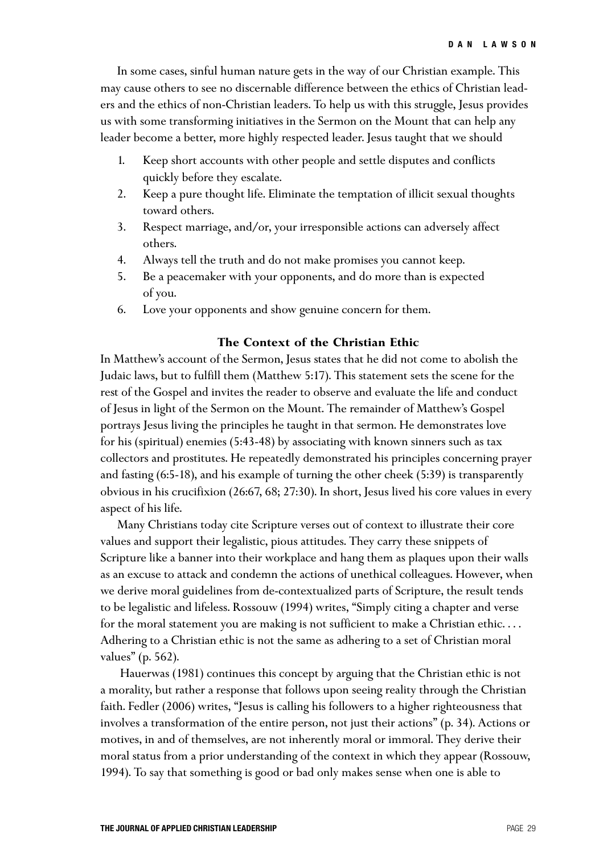In some cases, sinful human nature gets in the way of our Christian example. This may cause others to see no discernable difference between the ethics of Christian leaders and the ethics of non-Christian leaders. To help us with this struggle, Jesus provides us with some transforming initiatives in the Sermon on the Mount that can help any leader become a better, more highly respected leader. Jesus taught that we should

- 1. Keep short accounts with other people and settle disputes and conflicts quickly before they escalate.
- 2. Keep a pure thought life. Eliminate the temptation of illicit sexual thoughts toward others.
- 3. Respect marriage, and/or, your irresponsible actions can adversely affect others.
- 4. Always tell the truth and do not make promises you cannot keep.
- 5. Be a peacemaker with your opponents, and do more than is expected of you.
- 6. Love your opponents and show genuine concern for them.

## **The Context of the Christian Ethic**

In Matthew's account of the Sermon, Jesus states that he did not come to abolish the Judaic laws, but to fulfill them (Matthew 5:17). This statement sets the scene for the rest of the Gospel and invites the reader to observe and evaluate the life and conduct of Jesus in light of the Sermon on the Mount. The remainder of Matthew's Gospel portrays Jesus living the principles he taught in that sermon. He demonstrates love for his (spiritual) enemies (5:43-48) by associating with known sinners such as tax collectors and prostitutes. He repeatedly demonstrated his principles concerning prayer and fasting (6:5-18), and his example of turning the other cheek (5:39) is transparently obvious in his crucifixion (26:67, 68; 27:30). In short, Jesus lived his core values in every aspect of his life.

Many Christians today cite Scripture verses out of context to illustrate their core values and support their legalistic, pious attitudes. They carry these snippets of Scripture like a banner into their workplace and hang them as plaques upon their walls as an excuse to attack and condemn the actions of unethical colleagues. However, when we derive moral guidelines from de-contextualized parts of Scripture, the result tends to be legalistic and lifeless. Rossouw (1994) writes, "Simply citing a chapter and verse for the moral statement you are making is not sufficient to make a Christian ethic. . . . Adhering to a Christian ethic is not the same as adhering to a set of Christian moral values" (p. 562).

Hauerwas (1981) continues this concept by arguing that the Christian ethic is not a morality, but rather a response that follows upon seeing reality through the Christian faith. Fedler (2006) writes, "Jesus is calling his followers to a higher righteousness that involves a transformation of the entire person, not just their actions" (p. 34). Actions or motives, in and of themselves, are not inherently moral or immoral. They derive their moral status from a prior understanding of the context in which they appear (Rossouw, 1994). To say that something is good or bad only makes sense when one is able to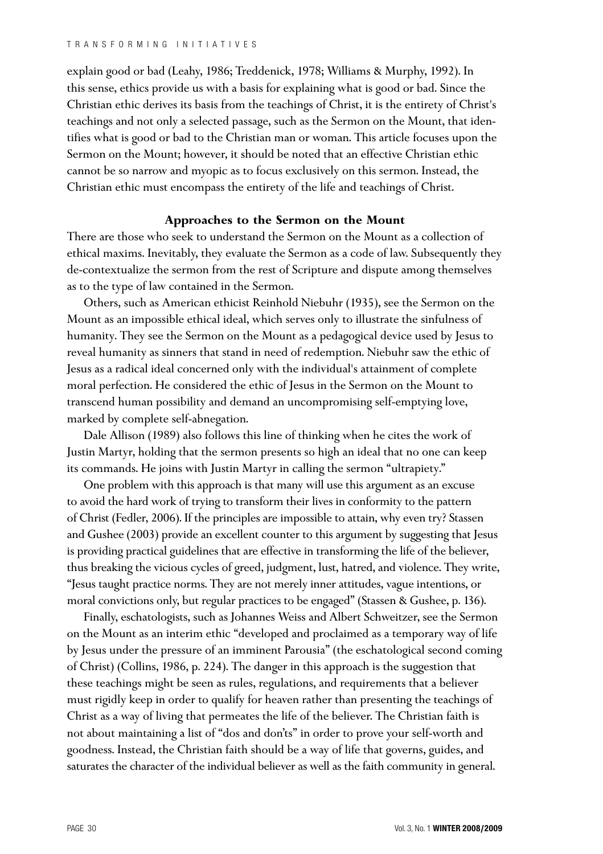explain good or bad (Leahy, 1986; Treddenick, 1978; Williams & Murphy, 1992). In this sense, ethics provide us with a basis for explaining what is good or bad. Since the Christian ethic derives its basis from the teachings of Christ, it is the entirety of Christ's teachings and not only a selected passage, such as the Sermon on the Mount, that identifies what is good or bad to the Christian man or woman. This article focuses upon the Sermon on the Mount; however, it should be noted that an effective Christian ethic cannot be so narrow and myopic as to focus exclusively on this sermon. Instead, the Christian ethic must encompass the entirety of the life and teachings of Christ.

## **Approaches to the Sermon on the Mount**

There are those who seek to understand the Sermon on the Mount as a collection of ethical maxims. Inevitably, they evaluate the Sermon as a code of law. Subsequently they de-contextualize the sermon from the rest of Scripture and dispute among themselves as to the type of law contained in the Sermon.

Others, such as American ethicist Reinhold Niebuhr (1935), see the Sermon on the Mount as an impossible ethical ideal, which serves only to illustrate the sinfulness of humanity. They see the Sermon on the Mount as a pedagogical device used by Jesus to reveal humanity as sinners that stand in need of redemption. Niebuhr saw the ethic of Jesus as a radical ideal concerned only with the individual's attainment of complete moral perfection. He considered the ethic of Jesus in the Sermon on the Mount to transcend human possibility and demand an uncompromising self-emptying love, marked by complete self-abnegation.

Dale Allison (1989) also follows this line of thinking when he cites the work of Justin Martyr, holding that the sermon presents so high an ideal that no one can keep its commands. He joins with Justin Martyr in calling the sermon "ultrapiety."

One problem with this approach is that many will use this argument as an excuse to avoid the hard work of trying to transform their lives in conformity to the pattern of Christ (Fedler, 2006). If the principles are impossible to attain, why even try? Stassen and Gushee (2003) provide an excellent counter to this argument by suggesting that Jesus is providing practical guidelines that are effective in transforming the life of the believer, thus breaking the vicious cycles of greed, judgment, lust, hatred, and violence. They write, "Jesus taught practice norms. They are not merely inner attitudes, vague intentions, or moral convictions only, but regular practices to be engaged" (Stassen & Gushee, p. 136).

Finally, eschatologists, such as Johannes Weiss and Albert Schweitzer, see the Sermon on the Mount as an interim ethic "developed and proclaimed as a temporary way of life by Jesus under the pressure of an imminent Parousia" (the eschatological second coming of Christ) (Collins, 1986, p. 224). The danger in this approach is the suggestion that these teachings might be seen as rules, regulations, and requirements that a believer must rigidly keep in order to qualify for heaven rather than presenting the teachings of Christ as a way of living that permeates the life of the believer. The Christian faith is not about maintaining a list of "dos and don'ts" in order to prove your self-worth and goodness. Instead, the Christian faith should be a way of life that governs, guides, and saturates the character of the individual believer as well as the faith community in general.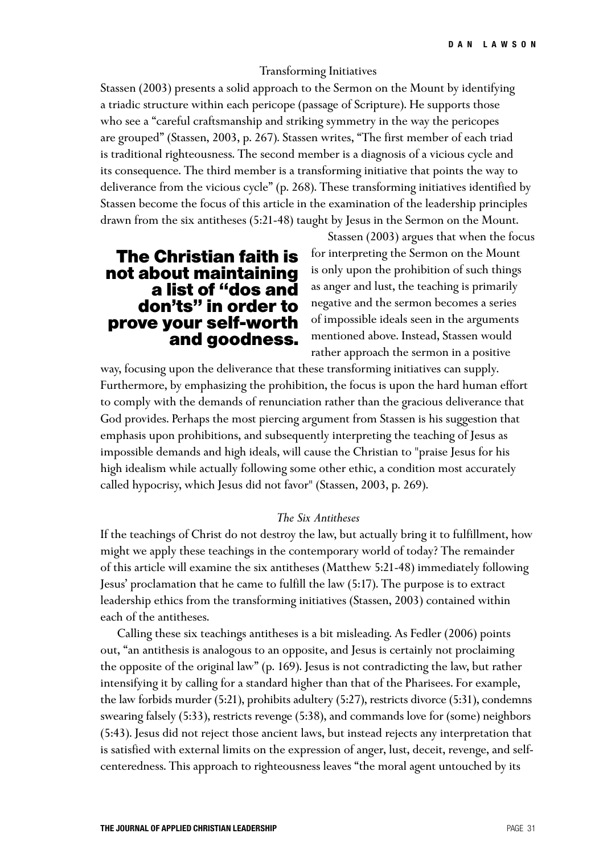### Transforming Initiatives

Stassen (2003) presents a solid approach to the Sermon on the Mount by identifying a triadic structure within each pericope (passage of Scripture). He supports those who see a "careful craftsmanship and striking symmetry in the way the pericopes are grouped" (Stassen, 2003, p. 267). Stassen writes, "The first member of each triad is traditional righteousness. The second member is a diagnosis of a vicious cycle and its consequence. The third member is a transforming initiative that points the way to deliverance from the vicious cycle" (p. 268). These transforming initiatives identified by Stassen become the focus of this article in the examination of the leadership principles drawn from the six antitheses (5:21-48) taught by Jesus in the Sermon on the Mount.

## **The Christian faith is not about maintaining a list of "dos and don'ts" in order to prove your self-worth and goodness.**

Stassen (2003) argues that when the focus for interpreting the Sermon on the Mount is only upon the prohibition of such things as anger and lust, the teaching is primarily negative and the sermon becomes a series of impossible ideals seen in the arguments mentioned above. Instead, Stassen would rather approach the sermon in a positive

way, focusing upon the deliverance that these transforming initiatives can supply. Furthermore, by emphasizing the prohibition, the focus is upon the hard human effort to comply with the demands of renunciation rather than the gracious deliverance that God provides. Perhaps the most piercing argument from Stassen is his suggestion that emphasis upon prohibitions, and subsequently interpreting the teaching of Jesus as impossible demands and high ideals, will cause the Christian to "praise Jesus for his high idealism while actually following some other ethic, a condition most accurately called hypocrisy, which Jesus did not favor" (Stassen, 2003, p. 269).

### *The Six Antitheses*

If the teachings of Christ do not destroy the law, but actually bring it to fulfillment, how might we apply these teachings in the contemporary world of today? The remainder of this article will examine the six antitheses (Matthew 5:21-48) immediately following Jesus' proclamation that he came to fulfill the law (5:17). The purpose is to extract leadership ethics from the transforming initiatives (Stassen, 2003) contained within each of the antitheses.

Calling these six teachings antitheses is a bit misleading. As Fedler (2006) points out, "an antithesis is analogous to an opposite, and Jesus is certainly not proclaiming the opposite of the original law" (p. 169). Jesus is not contradicting the law, but rather intensifying it by calling for a standard higher than that of the Pharisees. For example, the law forbids murder (5:21), prohibits adultery (5:27), restricts divorce (5:31), condemns swearing falsely (5:33), restricts revenge (5:38), and commands love for (some) neighbors (5:43). Jesus did not reject those ancient laws, but instead rejects any interpretation that is satisfied with external limits on the expression of anger, lust, deceit, revenge, and selfcenteredness. This approach to righteousness leaves "the moral agent untouched by its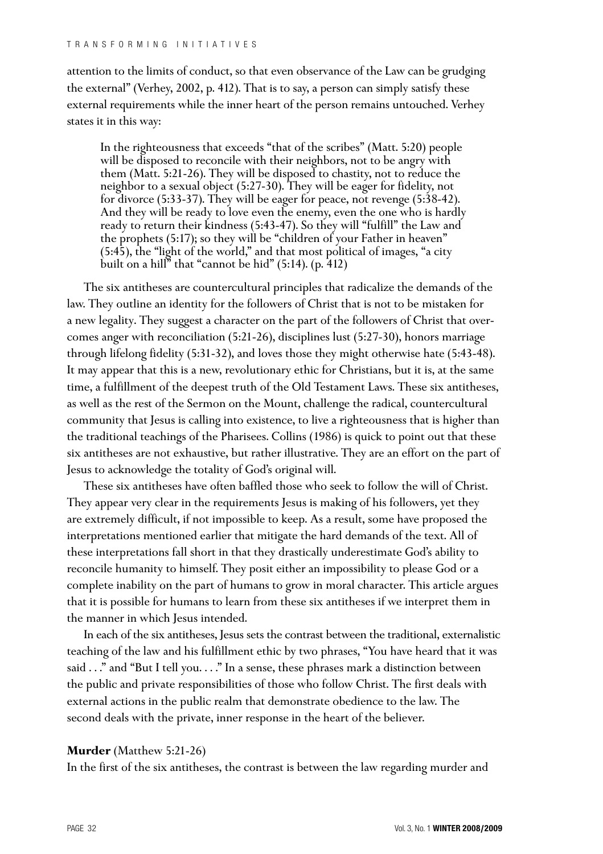attention to the limits of conduct, so that even observance of the Law can be grudging the external" (Verhey, 2002, p. 412). That is to say, a person can simply satisfy these external requirements while the inner heart of the person remains untouched. Verhey states it in this way:

In the righteousness that exceeds "that of the scribes" (Matt. 5:20) people will be disposed to reconcile with their neighbors, not to be angry with them (Matt. 5:21-26). They will be disposed to chastity, not to reduce the neighbor to a sexual object (5:27-30). They will be eager for fidelity, not for divorce (5:33-37). They will be eager for peace, not revenge (5:38-42). And they will be ready to love even the enemy, even the one who is hardly ready to return their kindness (5:43-47). So they will "fulfill" the Law and the prophets (5:17); so they will be "children of your Father in heaven" (5:45), the "light of the world," and that most political of images, "a city built on a hill" that "cannot be hid" (5:14). (p. 412)

The six antitheses are countercultural principles that radicalize the demands of the law. They outline an identity for the followers of Christ that is not to be mistaken for a new legality. They suggest a character on the part of the followers of Christ that overcomes anger with reconciliation (5:21-26), disciplines lust (5:27-30), honors marriage through lifelong fidelity (5:31-32), and loves those they might otherwise hate (5:43-48). It may appear that this is a new, revolutionary ethic for Christians, but it is, at the same time, a fulfillment of the deepest truth of the Old Testament Laws. These six antitheses, as well as the rest of the Sermon on the Mount, challenge the radical, countercultural community that Jesus is calling into existence, to live a righteousness that is higher than the traditional teachings of the Pharisees. Collins (1986) is quick to point out that these six antitheses are not exhaustive, but rather illustrative. They are an effort on the part of Jesus to acknowledge the totality of God's original will.

These six antitheses have often baffled those who seek to follow the will of Christ. They appear very clear in the requirements Jesus is making of his followers, yet they are extremely difficult, if not impossible to keep. As a result, some have proposed the interpretations mentioned earlier that mitigate the hard demands of the text. All of these interpretations fall short in that they drastically underestimate God's ability to reconcile humanity to himself. They posit either an impossibility to please God or a complete inability on the part of humans to grow in moral character. This article argues that it is possible for humans to learn from these six antitheses if we interpret them in the manner in which Jesus intended.

In each of the six antitheses, Jesus sets the contrast between the traditional, externalistic teaching of the law and his fulfillment ethic by two phrases, "You have heard that it was said . . ." and "But I tell you. . . ." In a sense, these phrases mark a distinction between the public and private responsibilities of those who follow Christ. The first deals with external actions in the public realm that demonstrate obedience to the law. The second deals with the private, inner response in the heart of the believer.

### **Murder** (Matthew 5:21-26)

In the first of the six antitheses, the contrast is between the law regarding murder and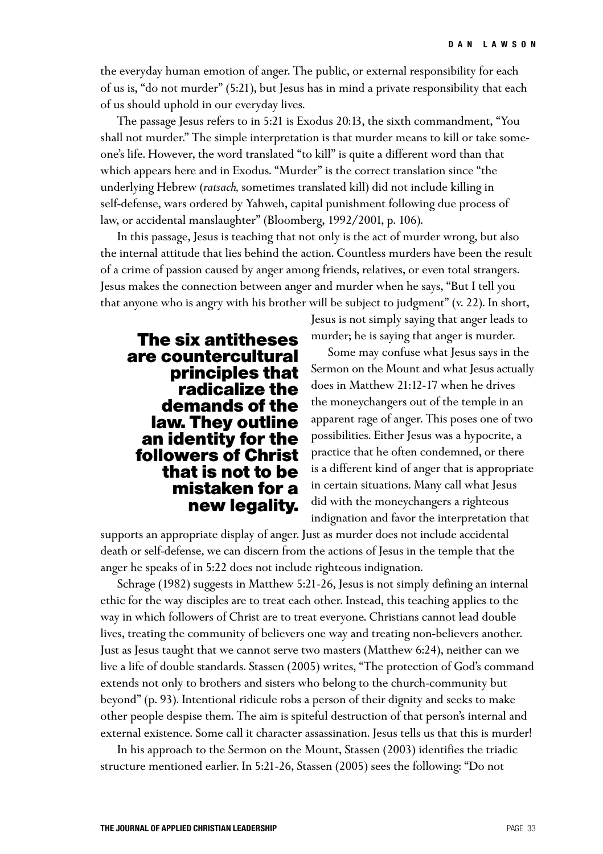the everyday human emotion of anger. The public, or external responsibility for each of us is, "do not murder" (5:21), but Jesus has in mind a private responsibility that each of us should uphold in our everyday lives.

The passage Jesus refers to in 5:21 is Exodus 20:13, the sixth commandment, "You shall not murder." The simple interpretation is that murder means to kill or take someone's life. However, the word translated "to kill" is quite a different word than that which appears here and in Exodus. "Murder" is the correct translation since "the underlying Hebrew (*ratsach,* sometimes translated kill) did not include killing in self-defense, wars ordered by Yahweh, capital punishment following due process of law, or accidental manslaughter" (Bloomberg, 1992/2001, p. 106).

In this passage, Jesus is teaching that not only is the act of murder wrong, but also the internal attitude that lies behind the action. Countless murders have been the result of a crime of passion caused by anger among friends, relatives, or even total strangers. Jesus makes the connection between anger and murder when he says, "But I tell you that anyone who is angry with his brother will be subject to judgment" (v. 22). In short,

> Jesus is not simply saying that anger leads to murder; he is saying that anger is murder.

**The six antitheses are countercultural principles that radicalize the demands of the law. They outline an identity for the followers of Christ that is not to be mistaken for a new legality.**

Some may confuse what Jesus says in the Sermon on the Mount and what Jesus actually does in Matthew 21:12-17 when he drives the moneychangers out of the temple in an apparent rage of anger. This poses one of two possibilities. Either Jesus was a hypocrite, a practice that he often condemned, or there is a different kind of anger that is appropriate in certain situations. Many call what Jesus did with the moneychangers a righteous indignation and favor the interpretation that

supports an appropriate display of anger. Just as murder does not include accidental death or self-defense, we can discern from the actions of Jesus in the temple that the anger he speaks of in 5:22 does not include righteous indignation.

Schrage (1982) suggests in Matthew 5:21-26, Jesus is not simply defining an internal ethic for the way disciples are to treat each other. Instead, this teaching applies to the way in which followers of Christ are to treat everyone. Christians cannot lead double lives, treating the community of believers one way and treating non-believers another. Just as Jesus taught that we cannot serve two masters (Matthew 6:24), neither can we live a life of double standards. Stassen (2005) writes, "The protection of God's command extends not only to brothers and sisters who belong to the church-community but beyond" (p. 93). Intentional ridicule robs a person of their dignity and seeks to make other people despise them. The aim is spiteful destruction of that person's internal and external existence. Some call it character assassination. Jesus tells us that this is murder!

In his approach to the Sermon on the Mount, Stassen (2003) identifies the triadic structure mentioned earlier. In 5:21-26, Stassen (2005) sees the following: "Do not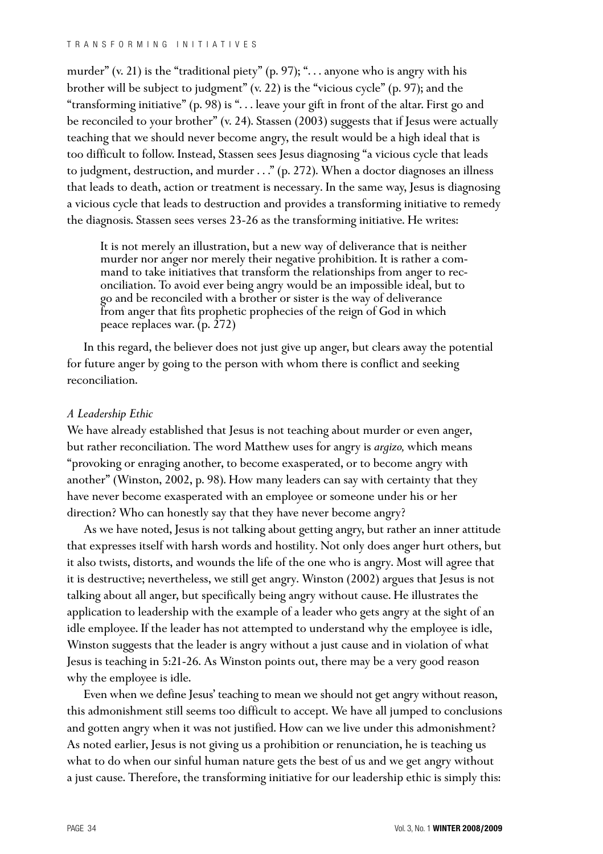murder" (v. 21) is the "traditional piety" (p. 97); "... anyone who is angry with his brother will be subject to judgment" (v. 22) is the "vicious cycle" (p. 97); and the "transforming initiative" (p. 98) is ". . . leave your gift in front of the altar. First go and be reconciled to your brother" (v. 24). Stassen (2003) suggests that if Jesus were actually teaching that we should never become angry, the result would be a high ideal that is too difficult to follow. Instead, Stassen sees Jesus diagnosing "a vicious cycle that leads to judgment, destruction, and murder ..." (p. 272). When a doctor diagnoses an illness that leads to death, action or treatment is necessary. In the same way, Jesus is diagnosing a vicious cycle that leads to destruction and provides a transforming initiative to remedy the diagnosis. Stassen sees verses 23-26 as the transforming initiative. He writes:

It is not merely an illustration, but a new way of deliverance that is neither murder nor anger nor merely their negative prohibition. It is rather a command to take initiatives that transform the relationships from anger to reconciliation. To avoid ever being angry would be an impossible ideal, but to go and be reconciled with a brother or sister is the way of deliverance from anger that fits prophetic prophecies of the reign of God in which peace replaces war. (p. 272)

In this regard, the believer does not just give up anger, but clears away the potential for future anger by going to the person with whom there is conflict and seeking reconciliation.

## *A Leadership Ethic*

We have already established that Jesus is not teaching about murder or even anger, but rather reconciliation. The word Matthew uses for angry is *argizo,* which means "provoking or enraging another, to become exasperated, or to become angry with another" (Winston, 2002, p. 98). How many leaders can say with certainty that they have never become exasperated with an employee or someone under his or her direction? Who can honestly say that they have never become angry?

As we have noted, Jesus is not talking about getting angry, but rather an inner attitude that expresses itself with harsh words and hostility. Not only does anger hurt others, but it also twists, distorts, and wounds the life of the one who is angry. Most will agree that it is destructive; nevertheless, we still get angry. Winston (2002) argues that Jesus is not talking about all anger, but specifically being angry without cause. He illustrates the application to leadership with the example of a leader who gets angry at the sight of an idle employee. If the leader has not attempted to understand why the employee is idle, Winston suggests that the leader is angry without a just cause and in violation of what Jesus is teaching in 5:21-26. As Winston points out, there may be a very good reason why the employee is idle.

Even when we define Jesus' teaching to mean we should not get angry without reason, this admonishment still seems too difficult to accept. We have all jumped to conclusions and gotten angry when it was not justified. How can we live under this admonishment? As noted earlier, Jesus is not giving us a prohibition or renunciation, he is teaching us what to do when our sinful human nature gets the best of us and we get angry without a just cause. Therefore, the transforming initiative for our leadership ethic is simply this: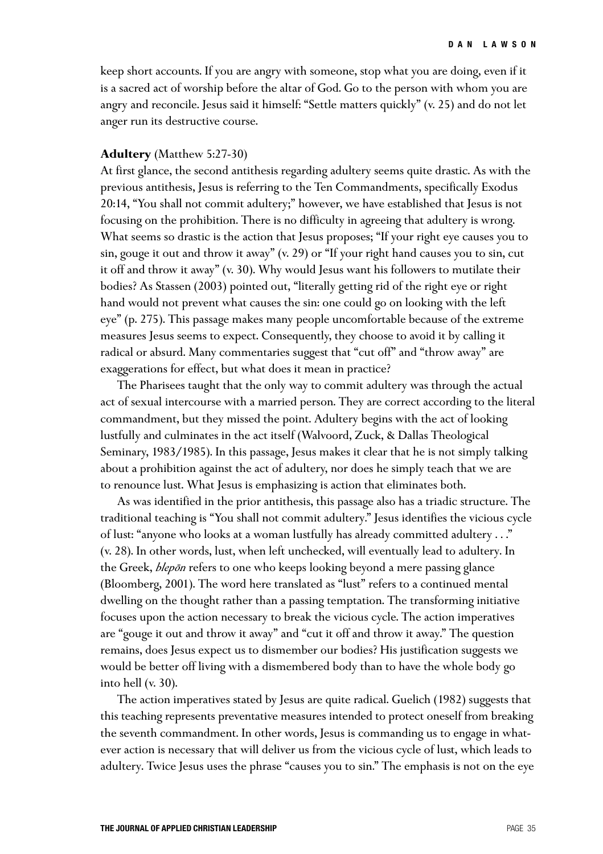keep short accounts. If you are angry with someone, stop what you are doing, even if it is a sacred act of worship before the altar of God. Go to the person with whom you are angry and reconcile. Jesus said it himself: "Settle matters quickly" (v. 25) and do not let anger run its destructive course.

### **Adultery** (Matthew 5:27-30)

At first glance, the second antithesis regarding adultery seems quite drastic. As with the previous antithesis, Jesus is referring to the Ten Commandments, specifically Exodus 20:14, "You shall not commit adultery;" however, we have established that Jesus is not focusing on the prohibition. There is no difficulty in agreeing that adultery is wrong. What seems so drastic is the action that Jesus proposes; "If your right eye causes you to sin, gouge it out and throw it away" (v. 29) or "If your right hand causes you to sin, cut it off and throw it away" (v. 30). Why would Jesus want his followers to mutilate their bodies? As Stassen (2003) pointed out, "literally getting rid of the right eye or right hand would not prevent what causes the sin: one could go on looking with the left eye" (p. 275). This passage makes many people uncomfortable because of the extreme measures Jesus seems to expect. Consequently, they choose to avoid it by calling it radical or absurd. Many commentaries suggest that "cut off" and "throw away" are exaggerations for effect, but what does it mean in practice?

The Pharisees taught that the only way to commit adultery was through the actual act of sexual intercourse with a married person. They are correct according to the literal commandment, but they missed the point. Adultery begins with the act of looking lustfully and culminates in the act itself (Walvoord, Zuck, & Dallas Theological Seminary, 1983/1985). In this passage, Jesus makes it clear that he is not simply talking about a prohibition against the act of adultery, nor does he simply teach that we are to renounce lust. What Jesus is emphasizing is action that eliminates both.

As was identified in the prior antithesis, this passage also has a triadic structure. The traditional teaching is "You shall not commit adultery." Jesus identifies the vicious cycle of lust: "anyone who looks at a woman lustfully has already committed adultery . . ." (v. 28). In other words, lust, when left unchecked, will eventually lead to adultery. In the Greek, *blepon* refers to one who keeps looking beyond a mere passing glance *-*(Bloomberg, 2001). The word here translated as "lust" refers to a continued mental dwelling on the thought rather than a passing temptation. The transforming initiative focuses upon the action necessary to break the vicious cycle. The action imperatives are "gouge it out and throw it away" and "cut it off and throw it away." The question remains, does Jesus expect us to dismember our bodies? His justification suggests we would be better off living with a dismembered body than to have the whole body go into hell (v. 30).

The action imperatives stated by Jesus are quite radical. Guelich (1982) suggests that this teaching represents preventative measures intended to protect oneself from breaking the seventh commandment. In other words, Jesus is commanding us to engage in whatever action is necessary that will deliver us from the vicious cycle of lust, which leads to adultery. Twice Jesus uses the phrase "causes you to sin." The emphasis is not on the eye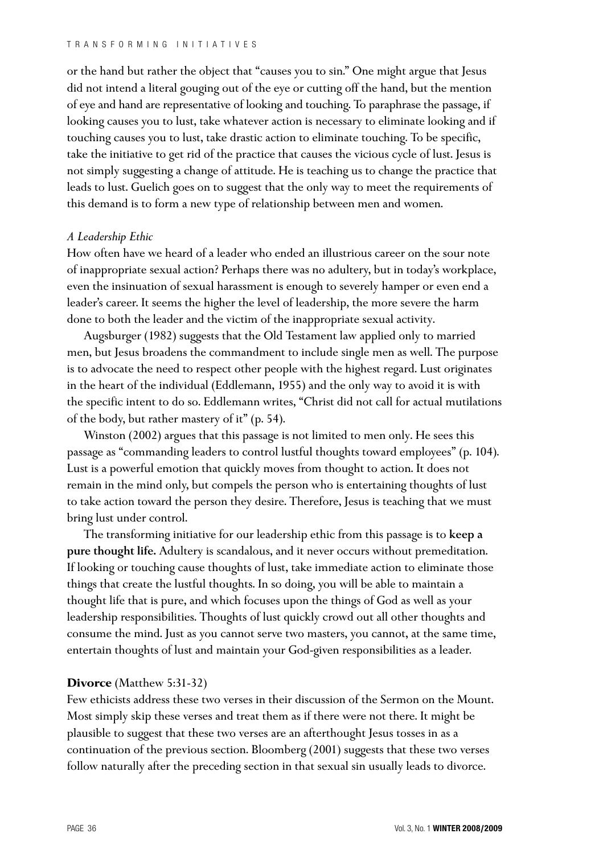or the hand but rather the object that "causes you to sin." One might argue that Jesus did not intend a literal gouging out of the eye or cutting off the hand, but the mention of eye and hand are representative of looking and touching. To paraphrase the passage, if looking causes you to lust, take whatever action is necessary to eliminate looking and if touching causes you to lust, take drastic action to eliminate touching. To be specific, take the initiative to get rid of the practice that causes the vicious cycle of lust. Jesus is not simply suggesting a change of attitude. He is teaching us to change the practice that leads to lust. Guelich goes on to suggest that the only way to meet the requirements of this demand is to form a new type of relationship between men and women.

## *A Leadership Ethic*

How often have we heard of a leader who ended an illustrious career on the sour note of inappropriate sexual action? Perhaps there was no adultery, but in today's workplace, even the insinuation of sexual harassment is enough to severely hamper or even end a leader's career. It seems the higher the level of leadership, the more severe the harm done to both the leader and the victim of the inappropriate sexual activity.

Augsburger (1982) suggests that the Old Testament law applied only to married men, but Jesus broadens the commandment to include single men as well. The purpose is to advocate the need to respect other people with the highest regard. Lust originates in the heart of the individual (Eddlemann, 1955) and the only way to avoid it is with the specific intent to do so. Eddlemann writes, "Christ did not call for actual mutilations of the body, but rather mastery of it" (p. 54).

Winston (2002) argues that this passage is not limited to men only. He sees this passage as "commanding leaders to control lustful thoughts toward employees" (p. 104). Lust is a powerful emotion that quickly moves from thought to action. It does not remain in the mind only, but compels the person who is entertaining thoughts of lust to take action toward the person they desire. Therefore, Jesus is teaching that we must bring lust under control.

The transforming initiative for our leadership ethic from this passage is to keep a pure thought life. Adultery is scandalous, and it never occurs without premeditation. If looking or touching cause thoughts of lust, take immediate action to eliminate those things that create the lustful thoughts. In so doing, you will be able to maintain a thought life that is pure, and which focuses upon the things of God as well as your leadership responsibilities. Thoughts of lust quickly crowd out all other thoughts and consume the mind. Just as you cannot serve two masters, you cannot, at the same time, entertain thoughts of lust and maintain your God-given responsibilities as a leader.

## **Divorce** (Matthew 5:31-32)

Few ethicists address these two verses in their discussion of the Sermon on the Mount. Most simply skip these verses and treat them as if there were not there. It might be plausible to suggest that these two verses are an afterthought Jesus tosses in as a continuation of the previous section. Bloomberg (2001) suggests that these two verses follow naturally after the preceding section in that sexual sin usually leads to divorce.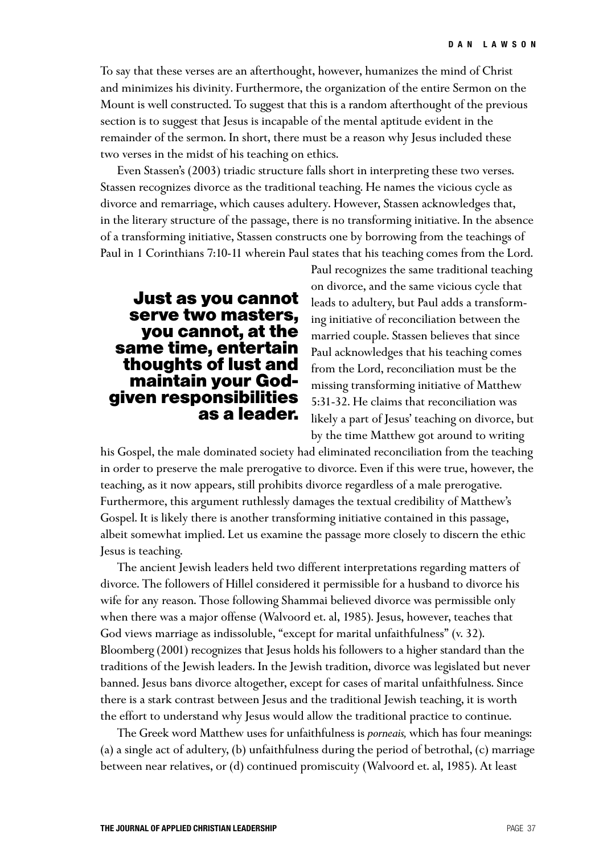To say that these verses are an afterthought, however, humanizes the mind of Christ and minimizes his divinity. Furthermore, the organization of the entire Sermon on the Mount is well constructed. To suggest that this is a random afterthought of the previous section is to suggest that Jesus is incapable of the mental aptitude evident in the remainder of the sermon. In short, there must be a reason why Jesus included these two verses in the midst of his teaching on ethics.

Even Stassen's (2003) triadic structure falls short in interpreting these two verses. Stassen recognizes divorce as the traditional teaching. He names the vicious cycle as divorce and remarriage, which causes adultery. However, Stassen acknowledges that, in the literary structure of the passage, there is no transforming initiative. In the absence of a transforming initiative, Stassen constructs one by borrowing from the teachings of Paul in 1 Corinthians 7:10-11 wherein Paul states that his teaching comes from the Lord.

## **Just as you cannot serve two masters, you cannot, at the same time, entertain thoughts of lust and maintain your Godgiven responsibilities as a leader.**

Paul recognizes the same traditional teaching on divorce, and the same vicious cycle that leads to adultery, but Paul adds a transforming initiative of reconciliation between the married couple. Stassen believes that since Paul acknowledges that his teaching comes from the Lord, reconciliation must be the missing transforming initiative of Matthew 5:31-32. He claims that reconciliation was likely a part of Jesus' teaching on divorce, but by the time Matthew got around to writing

his Gospel, the male dominated society had eliminated reconciliation from the teaching in order to preserve the male prerogative to divorce. Even if this were true, however, the teaching, as it now appears, still prohibits divorce regardless of a male prerogative. Furthermore, this argument ruthlessly damages the textual credibility of Matthew's Gospel. It is likely there is another transforming initiative contained in this passage, albeit somewhat implied. Let us examine the passage more closely to discern the ethic Jesus is teaching.

The ancient Jewish leaders held two different interpretations regarding matters of divorce. The followers of Hillel considered it permissible for a husband to divorce his wife for any reason. Those following Shammai believed divorce was permissible only when there was a major offense (Walvoord et. al, 1985). Jesus, however, teaches that God views marriage as indissoluble, "except for marital unfaithfulness" (v. 32). Bloomberg (2001) recognizes that Jesus holds his followers to a higher standard than the traditions of the Jewish leaders. In the Jewish tradition, divorce was legislated but never banned. Jesus bans divorce altogether, except for cases of marital unfaithfulness. Since there is a stark contrast between Jesus and the traditional Jewish teaching, it is worth the effort to understand why Jesus would allow the traditional practice to continue.

The Greek word Matthew uses for unfaithfulness is *porneais,* which has four meanings: (a) a single act of adultery, (b) unfaithfulness during the period of betrothal, (c) marriage between near relatives, or (d) continued promiscuity (Walvoord et. al, 1985). At least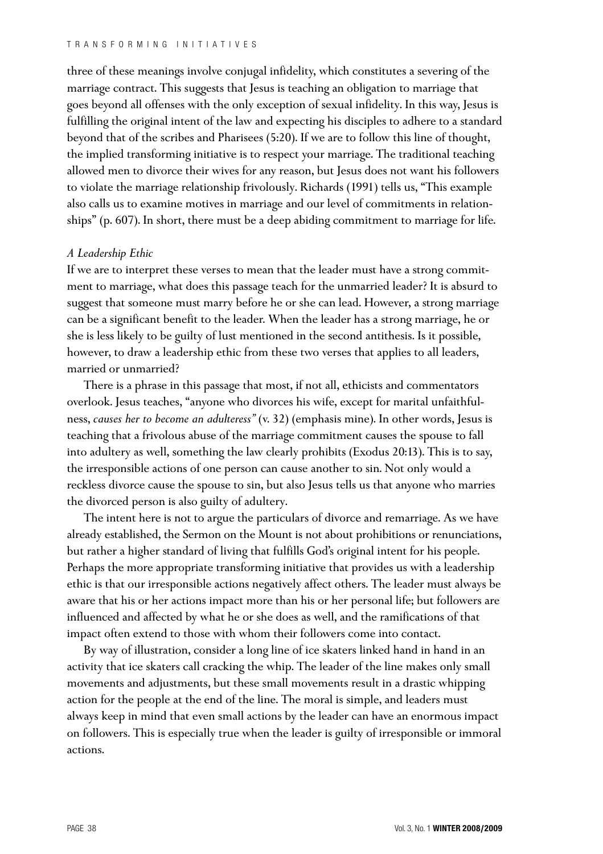three of these meanings involve conjugal infidelity, which constitutes a severing of the marriage contract. This suggests that Jesus is teaching an obligation to marriage that goes beyond all offenses with the only exception of sexual infidelity. In this way, Jesus is fulfilling the original intent of the law and expecting his disciples to adhere to a standard beyond that of the scribes and Pharisees (5:20). If we are to follow this line of thought, the implied transforming initiative is to respect your marriage. The traditional teaching allowed men to divorce their wives for any reason, but Jesus does not want his followers to violate the marriage relationship frivolously. Richards (1991) tells us, "This example also calls us to examine motives in marriage and our level of commitments in relationships" (p. 607). In short, there must be a deep abiding commitment to marriage for life.

## *A Leadership Ethic*

If we are to interpret these verses to mean that the leader must have a strong commitment to marriage, what does this passage teach for the unmarried leader? It is absurd to suggest that someone must marry before he or she can lead. However, a strong marriage can be a significant benefit to the leader. When the leader has a strong marriage, he or she is less likely to be guilty of lust mentioned in the second antithesis. Is it possible, however, to draw a leadership ethic from these two verses that applies to all leaders, married or unmarried?

There is a phrase in this passage that most, if not all, ethicists and commentators overlook. Jesus teaches, "anyone who divorces his wife, except for marital unfaithfulness, *causes her to become an adulteress"* (v. 32) (emphasis mine). In other words, Jesus is teaching that a frivolous abuse of the marriage commitment causes the spouse to fall into adultery as well, something the law clearly prohibits (Exodus 20:13). This is to say, the irresponsible actions of one person can cause another to sin. Not only would a reckless divorce cause the spouse to sin, but also Jesus tells us that anyone who marries the divorced person is also guilty of adultery.

The intent here is not to argue the particulars of divorce and remarriage. As we have already established, the Sermon on the Mount is not about prohibitions or renunciations, but rather a higher standard of living that fulfills God's original intent for his people. Perhaps the more appropriate transforming initiative that provides us with a leadership ethic is that our irresponsible actions negatively affect others. The leader must always be aware that his or her actions impact more than his or her personal life; but followers are influenced and affected by what he or she does as well, and the ramifications of that impact often extend to those with whom their followers come into contact.

By way of illustration, consider a long line of ice skaters linked hand in hand in an activity that ice skaters call cracking the whip. The leader of the line makes only small movements and adjustments, but these small movements result in a drastic whipping action for the people at the end of the line. The moral is simple, and leaders must always keep in mind that even small actions by the leader can have an enormous impact on followers. This is especially true when the leader is guilty of irresponsible or immoral actions.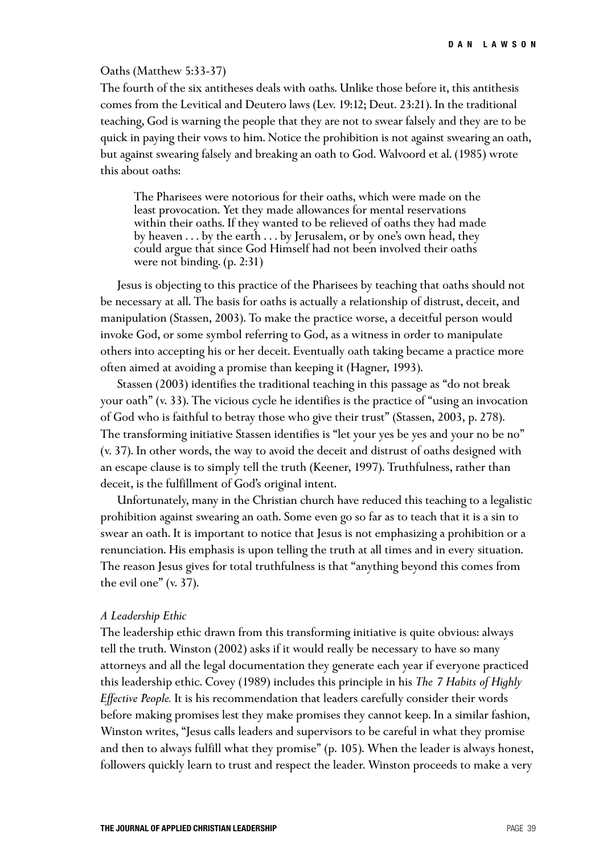### Oaths (Matthew 5:33-37)

The fourth of the six antitheses deals with oaths. Unlike those before it, this antithesis comes from the Levitical and Deutero laws (Lev. 19:12; Deut. 23:21). In the traditional teaching, God is warning the people that they are not to swear falsely and they are to be quick in paying their vows to him. Notice the prohibition is not against swearing an oath, but against swearing falsely and breaking an oath to God. Walvoord et al. (1985) wrote this about oaths:

The Pharisees were notorious for their oaths, which were made on the least provocation. Yet they made allowances for mental reservations within their oaths. If they wanted to be relieved of oaths they had made by heaven . . . by the earth . . . by Jerusalem, or by one's own head, they could argue that since God Himself had not been involved their oaths were not binding. (p. 2:31)

Jesus is objecting to this practice of the Pharisees by teaching that oaths should not be necessary at all. The basis for oaths is actually a relationship of distrust, deceit, and manipulation (Stassen, 2003). To make the practice worse, a deceitful person would invoke God, or some symbol referring to God, as a witness in order to manipulate others into accepting his or her deceit. Eventually oath taking became a practice more often aimed at avoiding a promise than keeping it (Hagner, 1993).

Stassen (2003) identifies the traditional teaching in this passage as "do not break your oath" (v. 33). The vicious cycle he identifies is the practice of "using an invocation of God who is faithful to betray those who give their trust" (Stassen, 2003, p. 278). The transforming initiative Stassen identifies is "let your yes be yes and your no be no" (v. 37). In other words, the way to avoid the deceit and distrust of oaths designed with an escape clause is to simply tell the truth (Keener, 1997). Truthfulness, rather than deceit, is the fulfillment of God's original intent.

Unfortunately, many in the Christian church have reduced this teaching to a legalistic prohibition against swearing an oath. Some even go so far as to teach that it is a sin to swear an oath. It is important to notice that Jesus is not emphasizing a prohibition or a renunciation. His emphasis is upon telling the truth at all times and in every situation. The reason Jesus gives for total truthfulness is that "anything beyond this comes from the evil one" (v. 37).

### *A Leadership Ethic*

The leadership ethic drawn from this transforming initiative is quite obvious: always tell the truth. Winston (2002) asks if it would really be necessary to have so many attorneys and all the legal documentation they generate each year if everyone practiced this leadership ethic. Covey (1989) includes this principle in his *The 7 Habits of Highly Effective People.* It is his recommendation that leaders carefully consider their words before making promises lest they make promises they cannot keep. In a similar fashion, Winston writes, "Jesus calls leaders and supervisors to be careful in what they promise and then to always fulfill what they promise" (p. 105). When the leader is always honest, followers quickly learn to trust and respect the leader. Winston proceeds to make a very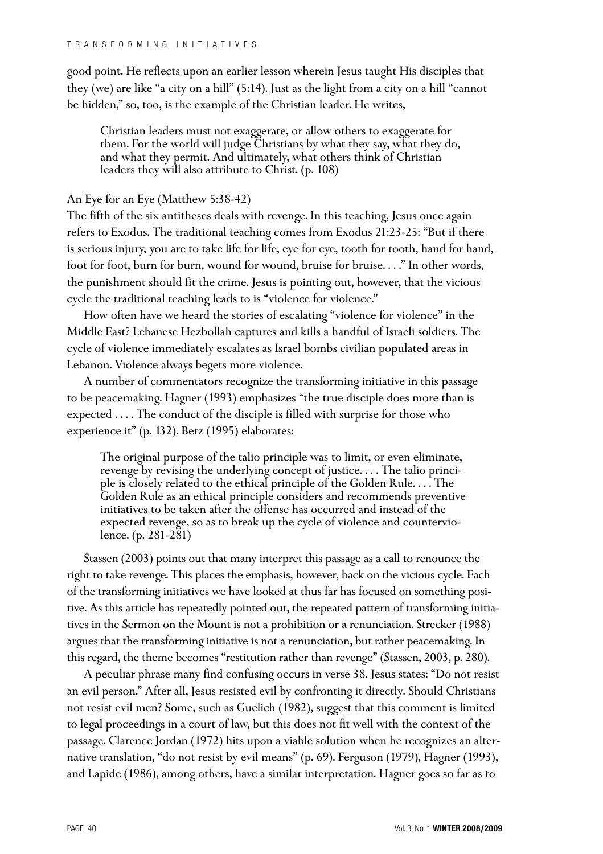good point. He reflects upon an earlier lesson wherein Jesus taught His disciples that they (we) are like "a city on a hill" (5:14). Just as the light from a city on a hill "cannot be hidden," so, too, is the example of the Christian leader. He writes,

Christian leaders must not exaggerate, or allow others to exaggerate for them. For the world will judge Christians by what they say, what they do, and what they permit. And ultimately, what others think of Christian leaders they will also attribute to Christ. (p. 108)

## An Eye for an Eye (Matthew 5:38-42)

The fifth of the six antitheses deals with revenge. In this teaching, Jesus once again refers to Exodus. The traditional teaching comes from Exodus 21:23-25: "But if there is serious injury, you are to take life for life, eye for eye, tooth for tooth, hand for hand, foot for foot, burn for burn, wound for wound, bruise for bruise. . . ." In other words, the punishment should fit the crime. Jesus is pointing out, however, that the vicious cycle the traditional teaching leads to is "violence for violence."

How often have we heard the stories of escalating "violence for violence" in the Middle East? Lebanese Hezbollah captures and kills a handful of Israeli soldiers. The cycle of violence immediately escalates as Israel bombs civilian populated areas in Lebanon. Violence always begets more violence.

A number of commentators recognize the transforming initiative in this passage to be peacemaking. Hagner (1993) emphasizes "the true disciple does more than is expected . . . . The conduct of the disciple is filled with surprise for those who experience it" (p. 132). Betz (1995) elaborates:

The original purpose of the talio principle was to limit, or even eliminate, revenge by revising the underlying concept of justice. . . . The talio principle is closely related to the ethical principle of the Golden Rule. . . . The Golden Rule as an ethical principle considers and recommends preventive initiatives to be taken after the offense has occurred and instead of the expected revenge, so as to break up the cycle of violence and counterviolence. (p. 281-281)

Stassen (2003) points out that many interpret this passage as a call to renounce the right to take revenge. This places the emphasis, however, back on the vicious cycle. Each of the transforming initiatives we have looked at thus far has focused on something positive. As this article has repeatedly pointed out, the repeated pattern of transforming initiatives in the Sermon on the Mount is not a prohibition or a renunciation. Strecker (1988) argues that the transforming initiative is not a renunciation, but rather peacemaking. In this regard, the theme becomes "restitution rather than revenge" (Stassen, 2003, p. 280).

A peculiar phrase many find confusing occurs in verse 38. Jesus states: "Do not resist an evil person." After all, Jesus resisted evil by confronting it directly. Should Christians not resist evil men? Some, such as Guelich (1982), suggest that this comment is limited to legal proceedings in a court of law, but this does not fit well with the context of the passage. Clarence Jordan (1972) hits upon a viable solution when he recognizes an alternative translation, "do not resist by evil means" (p. 69). Ferguson (1979), Hagner (1993), and Lapide (1986), among others, have a similar interpretation. Hagner goes so far as to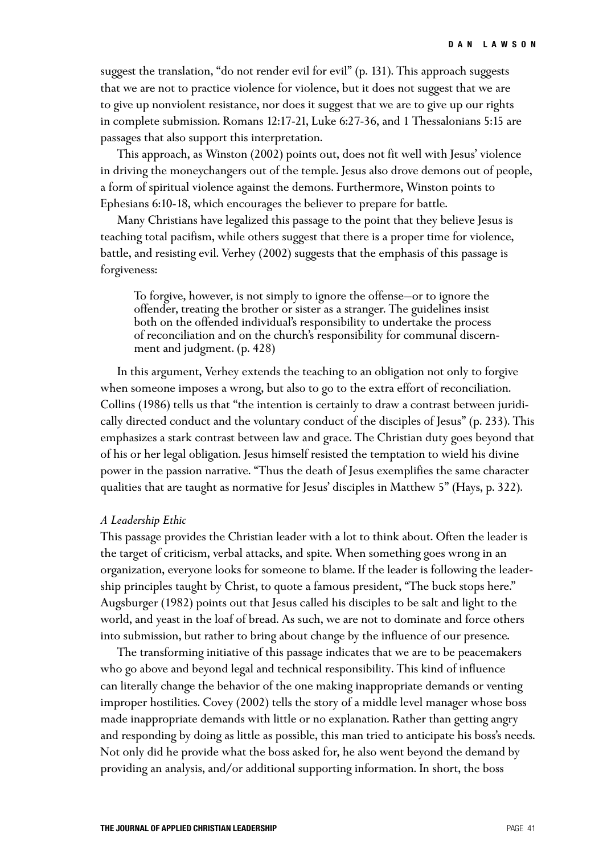suggest the translation, "do not render evil for evil" (p. 131). This approach suggests that we are not to practice violence for violence, but it does not suggest that we are to give up nonviolent resistance, nor does it suggest that we are to give up our rights in complete submission. Romans 12:17-21, Luke 6:27-36, and 1 Thessalonians 5:15 are passages that also support this interpretation.

This approach, as Winston (2002) points out, does not fit well with Jesus' violence in driving the moneychangers out of the temple. Jesus also drove demons out of people, a form of spiritual violence against the demons. Furthermore, Winston points to Ephesians 6:10-18, which encourages the believer to prepare for battle.

Many Christians have legalized this passage to the point that they believe Jesus is teaching total pacifism, while others suggest that there is a proper time for violence, battle, and resisting evil. Verhey (2002) suggests that the emphasis of this passage is forgiveness:

To forgive, however, is not simply to ignore the offense—or to ignore the offender, treating the brother or sister as a stranger. The guidelines insist both on the offended individual's responsibility to undertake the process of reconciliation and on the church's responsibility for communal discernment and judgment. (p. 428)

In this argument, Verhey extends the teaching to an obligation not only to forgive when someone imposes a wrong, but also to go to the extra effort of reconciliation. Collins (1986) tells us that "the intention is certainly to draw a contrast between juridically directed conduct and the voluntary conduct of the disciples of Jesus" (p. 233). This emphasizes a stark contrast between law and grace. The Christian duty goes beyond that of his or her legal obligation. Jesus himself resisted the temptation to wield his divine power in the passion narrative. "Thus the death of Jesus exemplifies the same character qualities that are taught as normative for Jesus' disciples in Matthew 5" (Hays, p. 322).

#### *A Leadership Ethic*

This passage provides the Christian leader with a lot to think about. Often the leader is the target of criticism, verbal attacks, and spite. When something goes wrong in an organization, everyone looks for someone to blame. If the leader is following the leadership principles taught by Christ, to quote a famous president, "The buck stops here." Augsburger (1982) points out that Jesus called his disciples to be salt and light to the world, and yeast in the loaf of bread. As such, we are not to dominate and force others into submission, but rather to bring about change by the influence of our presence.

The transforming initiative of this passage indicates that we are to be peacemakers who go above and beyond legal and technical responsibility. This kind of influence can literally change the behavior of the one making inappropriate demands or venting improper hostilities. Covey (2002) tells the story of a middle level manager whose boss made inappropriate demands with little or no explanation. Rather than getting angry and responding by doing as little as possible, this man tried to anticipate his boss's needs. Not only did he provide what the boss asked for, he also went beyond the demand by providing an analysis, and/or additional supporting information. In short, the boss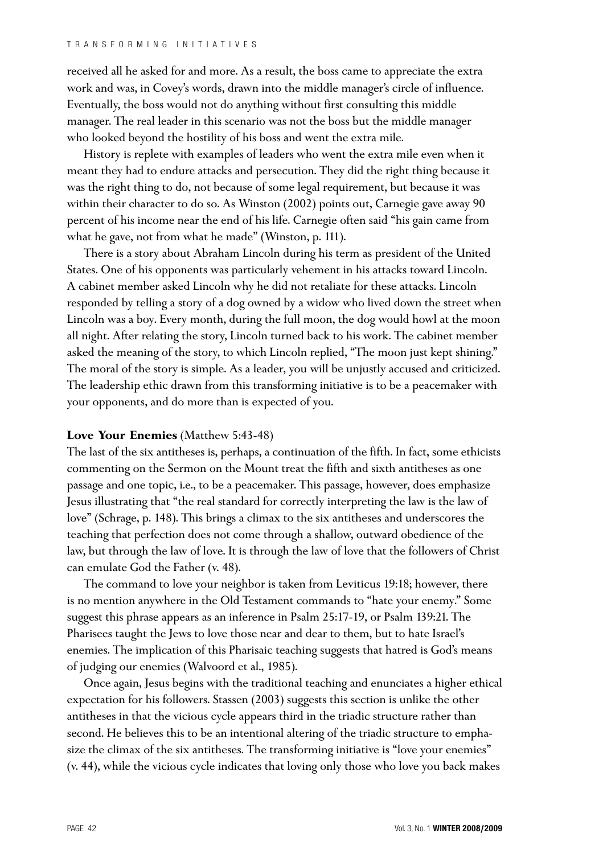received all he asked for and more. As a result, the boss came to appreciate the extra work and was, in Covey's words, drawn into the middle manager's circle of influence. Eventually, the boss would not do anything without first consulting this middle manager. The real leader in this scenario was not the boss but the middle manager who looked beyond the hostility of his boss and went the extra mile.

History is replete with examples of leaders who went the extra mile even when it meant they had to endure attacks and persecution. They did the right thing because it was the right thing to do, not because of some legal requirement, but because it was within their character to do so. As Winston (2002) points out, Carnegie gave away 90 percent of his income near the end of his life. Carnegie often said "his gain came from what he gave, not from what he made" (Winston, p. 111).

There is a story about Abraham Lincoln during his term as president of the United States. One of his opponents was particularly vehement in his attacks toward Lincoln. A cabinet member asked Lincoln why he did not retaliate for these attacks. Lincoln responded by telling a story of a dog owned by a widow who lived down the street when Lincoln was a boy. Every month, during the full moon, the dog would howl at the moon all night. After relating the story, Lincoln turned back to his work. The cabinet member asked the meaning of the story, to which Lincoln replied, "The moon just kept shining." The moral of the story is simple. As a leader, you will be unjustly accused and criticized. The leadership ethic drawn from this transforming initiative is to be a peacemaker with your opponents, and do more than is expected of you.

## **Love Your Enemies** (Matthew 5:43-48)

The last of the six antitheses is, perhaps, a continuation of the fifth. In fact, some ethicists commenting on the Sermon on the Mount treat the fifth and sixth antitheses as one passage and one topic, i.e., to be a peacemaker. This passage, however, does emphasize Jesus illustrating that "the real standard for correctly interpreting the law is the law of love" (Schrage, p. 148). This brings a climax to the six antitheses and underscores the teaching that perfection does not come through a shallow, outward obedience of the law, but through the law of love. It is through the law of love that the followers of Christ can emulate God the Father (v. 48).

The command to love your neighbor is taken from Leviticus 19:18; however, there is no mention anywhere in the Old Testament commands to "hate your enemy." Some suggest this phrase appears as an inference in Psalm 25:17-19, or Psalm 139:21. The Pharisees taught the Jews to love those near and dear to them, but to hate Israel's enemies. The implication of this Pharisaic teaching suggests that hatred is God's means of judging our enemies (Walvoord et al., 1985).

Once again, Jesus begins with the traditional teaching and enunciates a higher ethical expectation for his followers. Stassen (2003) suggests this section is unlike the other antitheses in that the vicious cycle appears third in the triadic structure rather than second. He believes this to be an intentional altering of the triadic structure to emphasize the climax of the six antitheses. The transforming initiative is "love your enemies" (v. 44), while the vicious cycle indicates that loving only those who love you back makes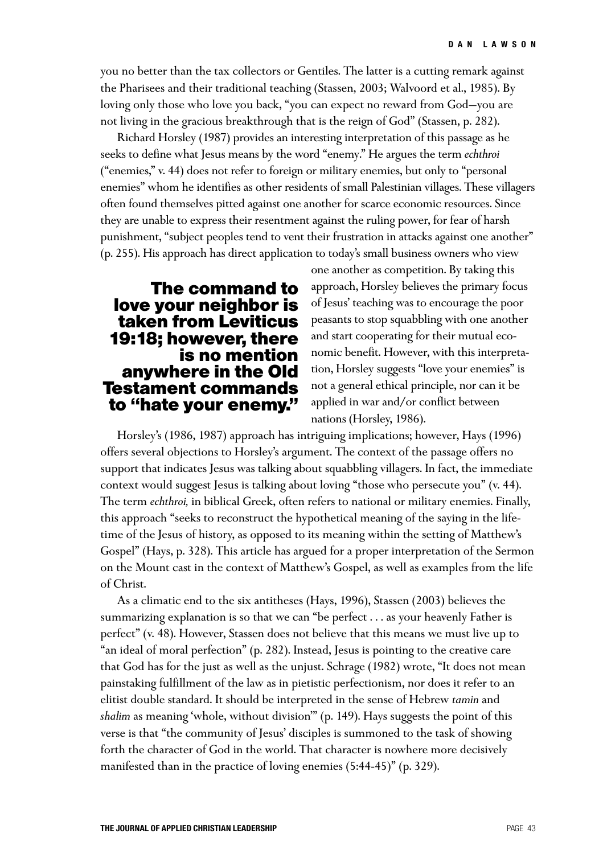you no better than the tax collectors or Gentiles. The latter is a cutting remark against the Pharisees and their traditional teaching (Stassen, 2003; Walvoord et al., 1985). By loving only those who love you back, "you can expect no reward from God—you are not living in the gracious breakthrough that is the reign of God" (Stassen, p. 282).

Richard Horsley (1987) provides an interesting interpretation of this passage as he seeks to define what Jesus means by the word "enemy." He argues the term *echthroi*  ("enemies," v. 44) does not refer to foreign or military enemies, but only to "personal enemies" whom he identifies as other residents of small Palestinian villages. These villagers often found themselves pitted against one another for scarce economic resources. Since they are unable to express their resentment against the ruling power, for fear of harsh punishment, "subject peoples tend to vent their frustration in attacks against one another" (p. 255). His approach has direct application to today's small business owners who view

## **The command to love your neighbor is taken from Leviticus 19:18; however, there is no mention anywhere in the Old Testament commands to "hate your enemy."**

one another as competition. By taking this approach, Horsley believes the primary focus of Jesus' teaching was to encourage the poor peasants to stop squabbling with one another and start cooperating for their mutual economic benefit. However, with this interpretation, Horsley suggests "love your enemies" is not a general ethical principle, nor can it be applied in war and/or conflict between nations (Horsley, 1986).

Horsley's (1986, 1987) approach has intriguing implications; however, Hays (1996) offers several objections to Horsley's argument. The context of the passage offers no support that indicates Jesus was talking about squabbling villagers. In fact, the immediate context would suggest Jesus is talking about loving "those who persecute you" (v. 44). The term *echthroi,* in biblical Greek, often refers to national or military enemies. Finally, this approach "seeks to reconstruct the hypothetical meaning of the saying in the lifetime of the Jesus of history, as opposed to its meaning within the setting of Matthew's Gospel" (Hays, p. 328). This article has argued for a proper interpretation of the Sermon on the Mount cast in the context of Matthew's Gospel, as well as examples from the life of Christ.

As a climatic end to the six antitheses (Hays, 1996), Stassen (2003) believes the summarizing explanation is so that we can "be perfect . . . as your heavenly Father is perfect" (v. 48). However, Stassen does not believe that this means we must live up to "an ideal of moral perfection" (p. 282). Instead, Jesus is pointing to the creative care that God has for the just as well as the unjust. Schrage (1982) wrote, "It does not mean painstaking fulfillment of the law as in pietistic perfectionism, nor does it refer to an elitist double standard. It should be interpreted in the sense of Hebrew *tamin* and *shalim* as meaning 'whole, without division'" (p. 149). Hays suggests the point of this verse is that "the community of Jesus' disciples is summoned to the task of showing forth the character of God in the world. That character is nowhere more decisively manifested than in the practice of loving enemies (5:44-45)" (p. 329).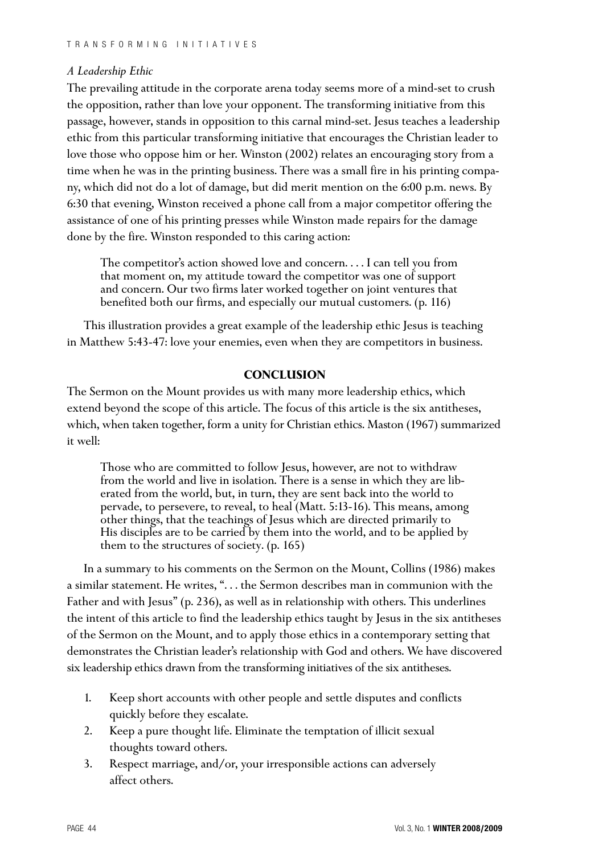## *A Leadership Ethic*

The prevailing attitude in the corporate arena today seems more of a mind-set to crush the opposition, rather than love your opponent. The transforming initiative from this passage, however, stands in opposition to this carnal mind-set. Jesus teaches a leadership ethic from this particular transforming initiative that encourages the Christian leader to love those who oppose him or her. Winston (2002) relates an encouraging story from a time when he was in the printing business. There was a small fire in his printing company, which did not do a lot of damage, but did merit mention on the 6:00 p.m. news. By 6:30 that evening, Winston received a phone call from a major competitor offering the assistance of one of his printing presses while Winston made repairs for the damage done by the fire. Winston responded to this caring action:

The competitor's action showed love and concern. . . . I can tell you from that moment on, my attitude toward the competitor was one of support and concern. Our two firms later worked together on joint ventures that benefited both our firms, and especially our mutual customers. (p. 116)

This illustration provides a great example of the leadership ethic Jesus is teaching in Matthew 5:43-47: love your enemies, even when they are competitors in business.

## **CONCLUSION**

The Sermon on the Mount provides us with many more leadership ethics, which extend beyond the scope of this article. The focus of this article is the six antitheses, which, when taken together, form a unity for Christian ethics. Maston (1967) summarized it well:

Those who are committed to follow Jesus, however, are not to withdraw from the world and live in isolation. There is a sense in which they are liberated from the world, but, in turn, they are sent back into the world to pervade, to persevere, to reveal, to heal (Matt. 5:13-16). This means, among other things, that the teachings of Jesus which are directed primarily to His disciples are to be carried by them into the world, and to be applied by them to the structures of society. (p. 165)

In a summary to his comments on the Sermon on the Mount, Collins (1986) makes a similar statement. He writes, ". . . the Sermon describes man in communion with the Father and with Jesus" (p. 236), as well as in relationship with others. This underlines the intent of this article to find the leadership ethics taught by Jesus in the six antitheses of the Sermon on the Mount, and to apply those ethics in a contemporary setting that demonstrates the Christian leader's relationship with God and others. We have discovered six leadership ethics drawn from the transforming initiatives of the six antitheses.

- 1. Keep short accounts with other people and settle disputes and conflicts quickly before they escalate.
- 2. Keep a pure thought life. Eliminate the temptation of illicit sexual thoughts toward others.
- 3. Respect marriage, and/or, your irresponsible actions can adversely affect others.